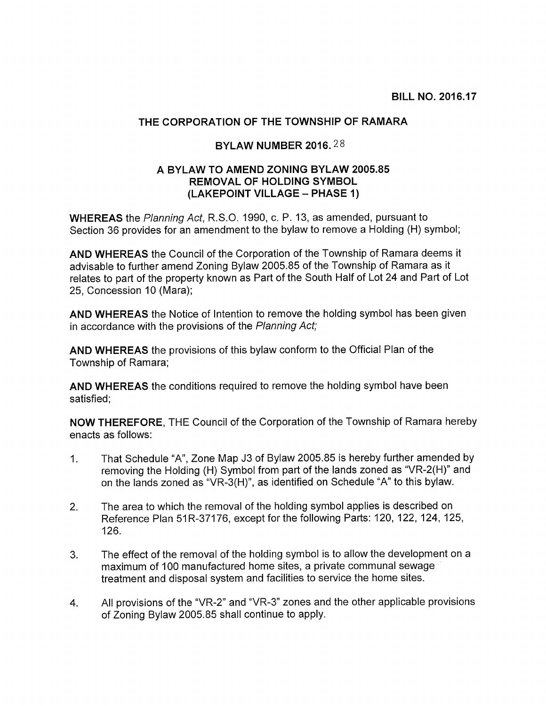## THE CORPORATION OF THE TOWNSHIP OF RAMARA

## BYLAW NUMBER 2016.28

## A BYLAW TO AMEND ZONING BYLAW 2005.85 REMOVAL OF HOLDING SYMBOL (LAKEPOINT VILLAGE — PHASE 1)

WHEREAS the Planning Act, R.S.O. 1990, c. P. 13, as amended, pursuant to Section 36 provides for an amendment to the bylaw to remove a Holding (H) symbol;

AND WHEREAS the Council of the Corporation of the Township of Ramara deems it advisable to further amend Zoning Bylaw 2005.85 of the Township of Ramara as it relates to part of the property known as Part of the South Half of Lot 24 and Part of Lot 25, Concession 10 (Mara);

AND WHEREAS the Notice of Intention to remove the holding symbol has been given in accordance with the provisions of the Planning Act;

AND WHEREAS the provisions of this bylaw conform to the Official Plan of the Township of Ramara;

AND WHEREAS the conditions required to remove the holding symbol have been satisfied;

NOW THEREFORE, THE Council of the Corporation of the Township of Ramara hereby enacts as follows:

- 1. That Schedule "A", Zone Map J3 of Bylaw 2005.85 is hereby further amended by removing the Holding (H) Symbol from part of the lands zoned as "VR-2(H)" and on the lands zoned as "VR-3(H)", as identified on Schedule "A" to this bylaw.
- 2. The area to which the removal of the holding symbol applies is described on Reference Plan 51R-37176, except for the following Parts: 120, 122, 124, 125, 126.
- 3. The effect of the removal of the holding symbol is to allow the development on a maximum of 100 manufactured home sites, a private communal sewage treatment and disposal system and facilities to service the home sites.
- 4. All provisions of the "VR-2" and "VR-3" zones and the other applicable provisions of Zoning Bylaw 2005.85 shall continue to apply.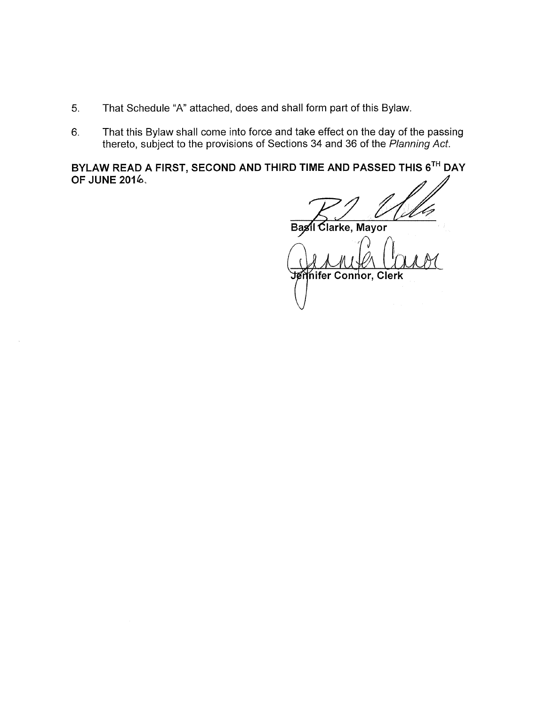- 5. That Schedule "A" attached, does and shall form part of this Bylaw.
- 6. That this Bylaw shall come into force and take effect on the day of the passing thereto, subject to the provisions of Sections 34 and 36 of the Planning Act.

BYLAW READ A FIRST, SECOND AND THIRD TIME AND PASSED THIS 6TH DAY **OF JUNE 2016.** 

Basil Clarke, Mayor

**Anifer Connor, Clerk**